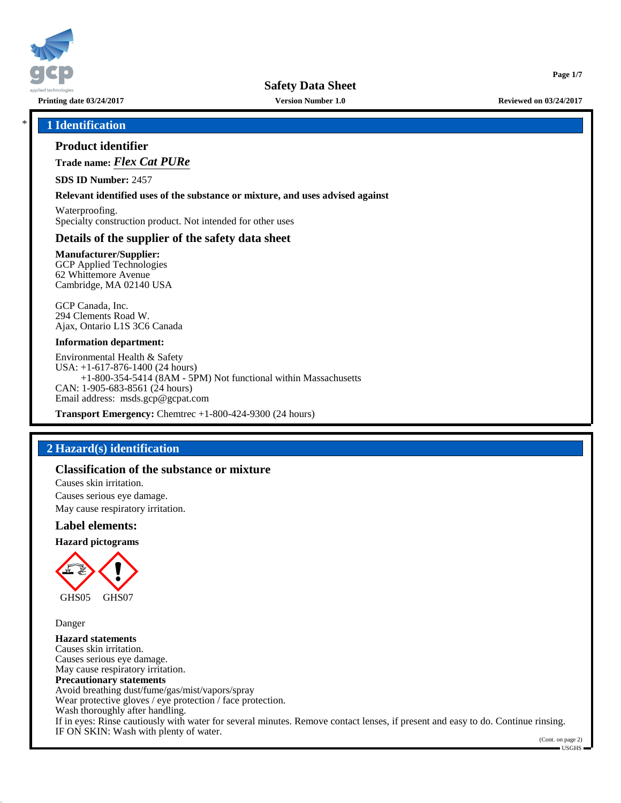

## \* **1 Identification**

## **Product identifier**

**Trade name:** *Flex Cat PURe*

**SDS ID Number:** 2457

#### **Relevant identified uses of the substance or mixture, and uses advised against**

Waterproofing. Specialty construction product. Not intended for other uses

## **Details of the supplier of the safety data sheet**

**Manufacturer/Supplier:** GCP Applied Technologies 62 Whittemore Avenue Cambridge, MA 02140 USA

GCP Canada, Inc. 294 Clements Road W. Ajax, Ontario L1S 3C6 Canada

#### **Information department:**

Environmental Health & Safety USA: +1-617-876-1400 (24 hours) +1-800-354-5414 (8AM - 5PM) Not functional within Massachusetts CAN: 1-905-683-8561 (24 hours) Email address: msds.gcp@gcpat.com

**Transport Emergency:** Chemtrec +1-800-424-9300 (24 hours)

## **2 Hazard(s) identification**

### **Classification of the substance or mixture**

Causes skin irritation. Causes serious eye damage. May cause respiratory irritation.

### **Label elements:**

**Hazard pictograms**



Danger

**Hazard statements** Causes skin irritation. Causes serious eye damage. May cause respiratory irritation. **Precautionary statements** Avoid breathing dust/fume/gas/mist/vapors/spray Wear protective gloves / eye protection / face protection. Wash thoroughly after handling. If in eyes: Rinse cautiously with water for several minutes. Remove contact lenses, if present and easy to do. Continue rinsing. IF ON SKIN: Wash with plenty of water.

**Page 1/7**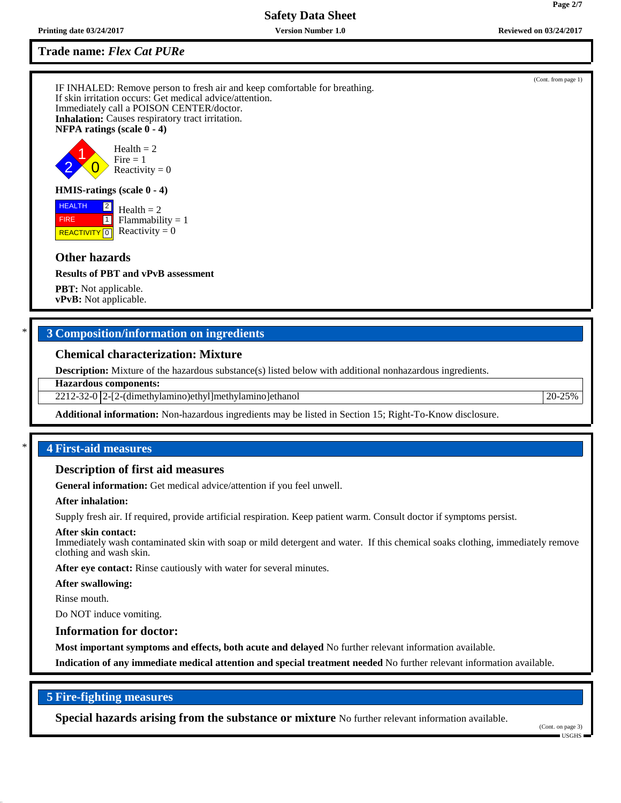**Trade name:** *Flex Cat PURe*

IF INHALED: Remove person to fresh air and keep comfortable for breathing. If skin irritation occurs: Get medical advice/attention. Immediately call a POISON CENTER/doctor. **Inhalation:** Causes respiratory tract irritation. **NFPA ratings (scale 0 - 4)**



## **HMIS-ratings (scale 0 - 4)**

 HEALTH FIRE **REACTIVITY** 0  $|2|$  $\Box$  $Health = 2$  $Flammability = 1$ Reactivity  $= 0$ 

### **Other hazards**

**Results of PBT and vPvB assessment**

**PBT:** Not applicable. **vPvB:** Not applicable.

## \* **3 Composition/information on ingredients**

#### **Chemical characterization: Mixture**

**Description:** Mixture of the hazardous substance(s) listed below with additional nonhazardous ingredients.

**Hazardous components:**

2212-32-0 2-[2-(dimethylamino)ethyl]methylamino]ethanol 20-25%

**Additional information:** Non-hazardous ingredients may be listed in Section 15; Right-To-Know disclosure.

## \* **4 First-aid measures**

#### **Description of first aid measures**

**General information:** Get medical advice/attention if you feel unwell.

**After inhalation:**

Supply fresh air. If required, provide artificial respiration. Keep patient warm. Consult doctor if symptoms persist.

#### **After skin contact:**

Immediately wash contaminated skin with soap or mild detergent and water. If this chemical soaks clothing, immediately remove clothing and wash skin.

**After eye contact:** Rinse cautiously with water for several minutes.

**After swallowing:**

Rinse mouth.

Do NOT induce vomiting.

#### **Information for doctor:**

**Most important symptoms and effects, both acute and delayed** No further relevant information available.

**Indication of any immediate medical attention and special treatment needed** No further relevant information available.

## **5 Fire-fighting measures**

**Special hazards arising from the substance or mixture** No further relevant information available.

(Cont. from page 1)

**Page 2/7**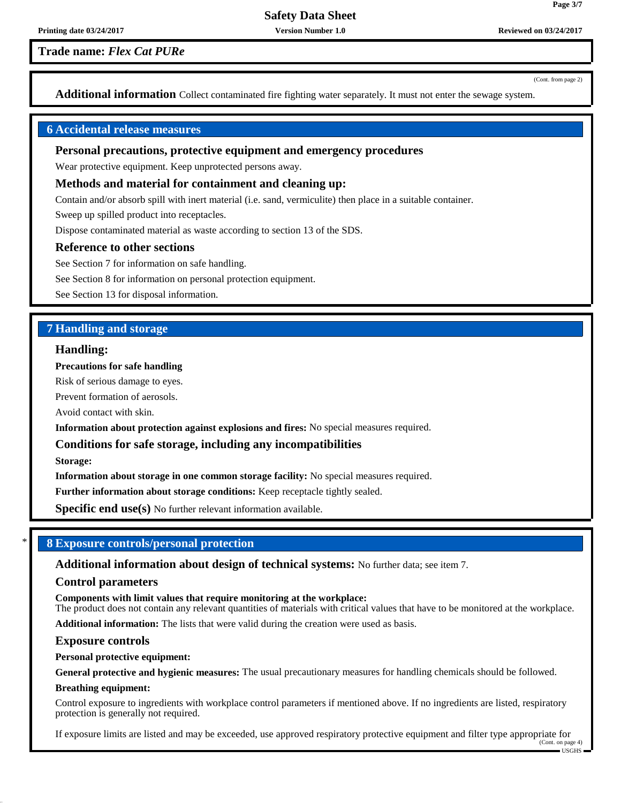## **Trade name:** *Flex Cat PURe*

(Cont. from page 2)

**Page 3/7**

**Additional information** Collect contaminated fire fighting water separately. It must not enter the sewage system.

## **6 Accidental release measures**

## **Personal precautions, protective equipment and emergency procedures**

Wear protective equipment. Keep unprotected persons away.

#### **Methods and material for containment and cleaning up:**

Contain and/or absorb spill with inert material (i.e. sand, vermiculite) then place in a suitable container.

Sweep up spilled product into receptacles.

Dispose contaminated material as waste according to section 13 of the SDS.

#### **Reference to other sections**

See Section 7 for information on safe handling.

See Section 8 for information on personal protection equipment.

See Section 13 for disposal information.

## **7 Handling and storage**

## **Handling:**

**Precautions for safe handling**

Risk of serious damage to eyes.

Prevent formation of aerosols.

Avoid contact with skin.

**Information about protection against explosions and fires:** No special measures required.

### **Conditions for safe storage, including any incompatibilities**

**Storage:**

**Information about storage in one common storage facility:** No special measures required.

**Further information about storage conditions:** Keep receptacle tightly sealed.

**Specific end use(s)** No further relevant information available.

## \* **8 Exposure controls/personal protection**

**Additional information about design of technical systems:** No further data; see item 7.

#### **Control parameters**

**Components with limit values that require monitoring at the workplace:**

The product does not contain any relevant quantities of materials with critical values that have to be monitored at the workplace.

**Additional information:** The lists that were valid during the creation were used as basis.

#### **Exposure controls**

**Personal protective equipment:**

**General protective and hygienic measures:** The usual precautionary measures for handling chemicals should be followed.

#### **Breathing equipment:**

Control exposure to ingredients with workplace control parameters if mentioned above. If no ingredients are listed, respiratory protection is generally not required.

If exposure limits are listed and may be exceeded, use approved respiratory protective equipment and filter type appropriate for (Cont. on page 4)

 $\blacksquare$  USGHS  $\blacksquare$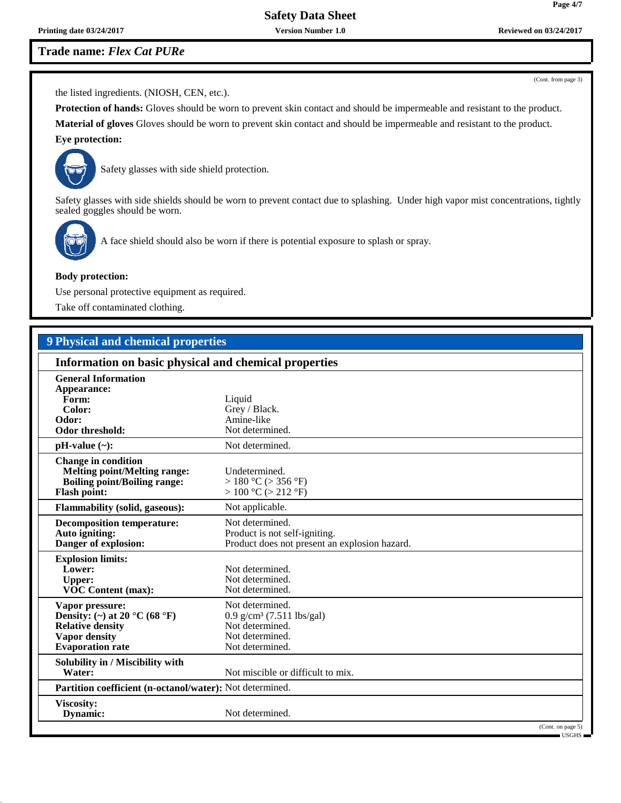**Printing date 03/24/2017 Version Number 1.0 Reviewed on 03/24/2017**

# **Trade name:** *Flex Cat PURe*

(Cont. from page 3)

the listed ingredients. (NIOSH, CEN, etc.).

**Protection of hands:** Gloves should be worn to prevent skin contact and should be impermeable and resistant to the product. **Material of gloves** Gloves should be worn to prevent skin contact and should be impermeable and resistant to the product.

# **Eye protection:**



Safety glasses with side shield protection.

Safety glasses with side shields should be worn to prevent contact due to splashing. Under high vapor mist concentrations, tightly sealed goggles should be worn.



A face shield should also be worn if there is potential exposure to splash or spray.

#### **Body protection:**

Use personal protective equipment as required.

Take off contaminated clothing.

## **9 Physical and chemical properties**

| Information on basic physical and chemical properties                                                                                              |                                                                                                                     |  |  |
|----------------------------------------------------------------------------------------------------------------------------------------------------|---------------------------------------------------------------------------------------------------------------------|--|--|
| <b>General Information</b><br>Appearance:<br>Form:<br>Color:<br>Odor:<br><b>Odor threshold:</b>                                                    | Liquid<br>Grey / Black.<br>Amine-like<br>Not determined.                                                            |  |  |
| $pH-value (\sim):$                                                                                                                                 | Not determined.                                                                                                     |  |  |
| <b>Change in condition</b><br><b>Melting point/Melting range:</b><br><b>Boiling point/Boiling range:</b><br><b>Flash point:</b>                    | Undetermined.<br>> 180 °C (> 356 °F)<br>> 100 °C (> 212 °F)                                                         |  |  |
| <b>Flammability (solid, gaseous):</b>                                                                                                              | Not applicable.                                                                                                     |  |  |
| <b>Decomposition temperature:</b><br>Auto igniting:<br>Danger of explosion:                                                                        | Not determined.<br>Product is not self-igniting.<br>Product does not present an explosion hazard.                   |  |  |
| <b>Explosion limits:</b><br>Lower:<br><b>Upper:</b><br><b>VOC Content (max):</b>                                                                   | Not determined.<br>Not determined.<br>Not determined.                                                               |  |  |
| Vapor pressure:<br>Density: (~) at 20 $^{\circ}$ C (68 $^{\circ}$ F)<br><b>Relative density</b><br><b>Vapor density</b><br><b>Evaporation rate</b> | Not determined.<br>$0.9$ g/cm <sup>3</sup> (7.511 lbs/gal)<br>Not determined.<br>Not determined.<br>Not determined. |  |  |
| Solubility in / Miscibility with<br>Water:                                                                                                         | Not miscible or difficult to mix.                                                                                   |  |  |
|                                                                                                                                                    | Partition coefficient (n-octanol/water): Not determined.                                                            |  |  |
| Viscosity:<br>Dynamic:                                                                                                                             | Not determined.                                                                                                     |  |  |
|                                                                                                                                                    | (Cont. on page 5)<br>= USGHS =                                                                                      |  |  |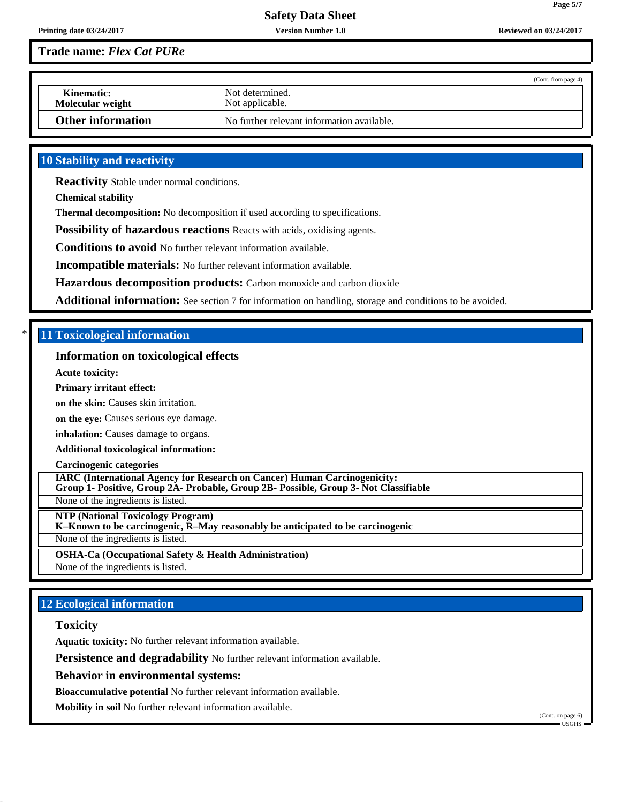**Page 5/7**

## **Trade name:** *Flex Cat PURe*

|                                |                                            | (Cont. from page 4) |
|--------------------------------|--------------------------------------------|---------------------|
| Kinematic:<br>Molecular weight | Not determined.<br>Not applicable.         |                     |
| <b>Other information</b>       | No further relevant information available. |                     |

## **10 Stability and reactivity**

**Reactivity** Stable under normal conditions.

**Chemical stability**

**Thermal decomposition:** No decomposition if used according to specifications.

**Possibility of hazardous reactions** Reacts with acids, oxidising agents.

**Conditions to avoid** No further relevant information available.

**Incompatible materials:** No further relevant information available.

**Hazardous decomposition products:** Carbon monoxide and carbon dioxide

**Additional information:** See section 7 for information on handling, storage and conditions to be avoided.

## \* **11 Toxicological information**

## **Information on toxicological effects**

**Acute toxicity:**

#### **Primary irritant effect:**

**on the skin:** Causes skin irritation.

**on the eye:** Causes serious eye damage.

**inhalation:** Causes damage to organs.

#### **Additional toxicological information:**

**Carcinogenic categories**

**IARC (International Agency for Research on Cancer) Human Carcinogenicity: Group 1- Positive, Group 2A- Probable, Group 2B- Possible, Group 3- Not Classifiable**

None of the ingredients is listed.

**NTP (National Toxicology Program)**

**K–Known to be carcinogenic, R–May reasonably be anticipated to be carcinogenic**

None of the ingredients is listed.

**OSHA-Ca (Occupational Safety & Health Administration)**

None of the ingredients is listed.

## **12 Ecological information**

## **Toxicity**

**Aquatic toxicity:** No further relevant information available.

**Persistence and degradability** No further relevant information available.

**Behavior in environmental systems:**

**Bioaccumulative potential** No further relevant information available.

**Mobility in soil** No further relevant information available.

(Cont. on page 6) USGHS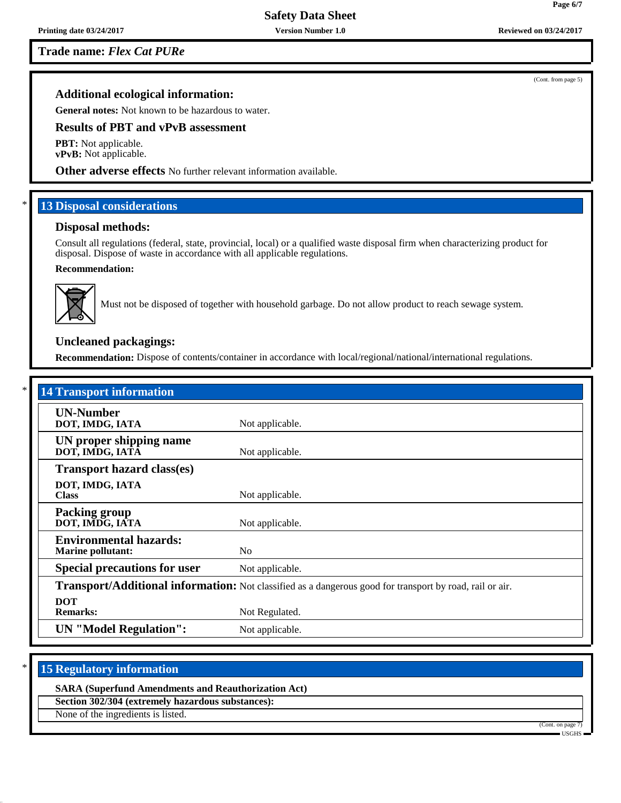**Trade name:** *Flex Cat PURe*

## **Additional ecological information:**

**General notes:** Not known to be hazardous to water.

## **Results of PBT and vPvB assessment**

**PBT:** Not applicable. **vPvB:** Not applicable.

**Other adverse effects** No further relevant information available.

## **13 Disposal considerations**

#### **Disposal methods:**

Consult all regulations (federal, state, provincial, local) or a qualified waste disposal firm when characterizing product for disposal. Dispose of waste in accordance with all applicable regulations.

### **Recommendation:**



Must not be disposed of together with household garbage. Do not allow product to reach sewage system.

## **Uncleaned packagings:**

**Recommendation:** Dispose of contents/container in accordance with local/regional/national/international regulations.

| <b>14 Transport information</b>                                                                          |                 |  |
|----------------------------------------------------------------------------------------------------------|-----------------|--|
| <b>UN-Number</b><br>DOT, IMDG, IATA                                                                      | Not applicable. |  |
| UN proper shipping name<br>DOT, IMDG, IATA                                                               | Not applicable. |  |
| <b>Transport hazard class(es)</b>                                                                        |                 |  |
| DOT, IMDG, IATA<br><b>Class</b>                                                                          | Not applicable. |  |
| <b>Packing group</b><br>DOT, IMDG, IATA                                                                  | Not applicable. |  |
| <b>Environmental hazards:</b><br><b>Marine pollutant:</b>                                                | N <sub>o</sub>  |  |
| <b>Special precautions for user</b>                                                                      | Not applicable. |  |
| Transport/Additional information: Not classified as a dangerous good for transport by road, rail or air. |                 |  |
| <b>DOT</b><br><b>Remarks:</b>                                                                            | Not Regulated.  |  |
| <b>UN</b> "Model Regulation":                                                                            | Not applicable. |  |

## **15 Regulatory information**

#### **SARA (Superfund Amendments and Reauthorization Act)**

**Section 302/304 (extremely hazardous substances):**

None of the ingredients is listed.



(Cont. from page 5)

**Page 6/7**